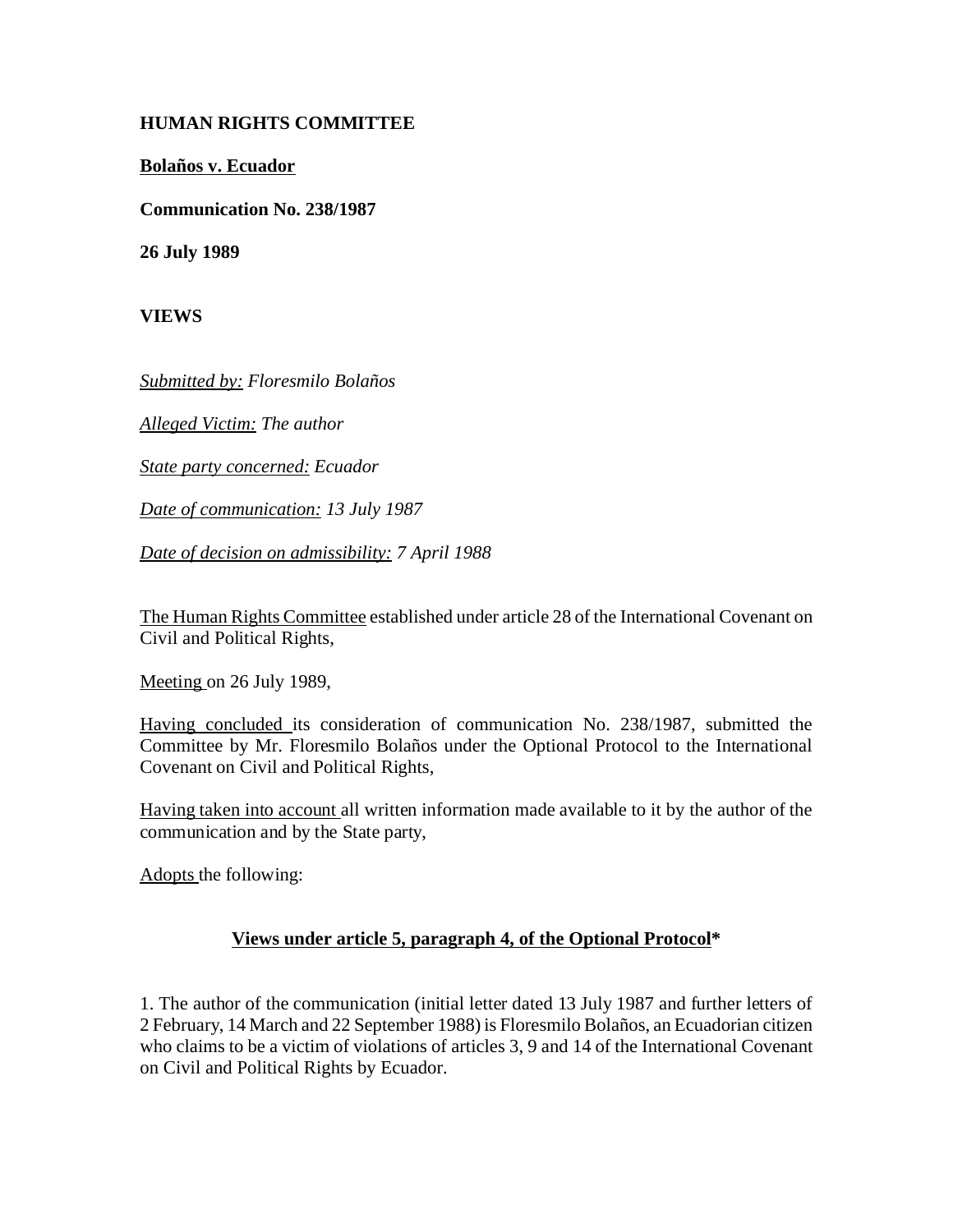## **HUMAN RIGHTS COMMITTEE**

**Bolaños v. Ecuador**

**Communication No. 238/1987**

**26 July 1989**

**VIEWS**

*Submitted by: Floresmilo Bolaños*

*Alleged Victim: The author*

*State party concerned: Ecuador*

*Date of communication: 13 July 1987*

*Date of decision on admissibility: 7 April 1988*

The Human Rights Committee established under article 28 of the International Covenant on Civil and Political Rights,

Meeting on 26 July 1989,

Having concluded its consideration of communication No. 238/1987, submitted the Committee by Mr. Floresmilo Bolaños under the Optional Protocol to the International Covenant on Civil and Political Rights,

Having taken into account all written information made available to it by the author of the communication and by the State party,

Adopts the following:

## **Views under article 5, paragraph 4, of the Optional Protocol\***

1. The author of the communication (initial letter dated 13 July 1987 and further letters of 2 February, 14 March and 22 September 1988) is Floresmilo Bolaños, an Ecuadorian citizen who claims to be a victim of violations of articles 3, 9 and 14 of the International Covenant on Civil and Political Rights by Ecuador.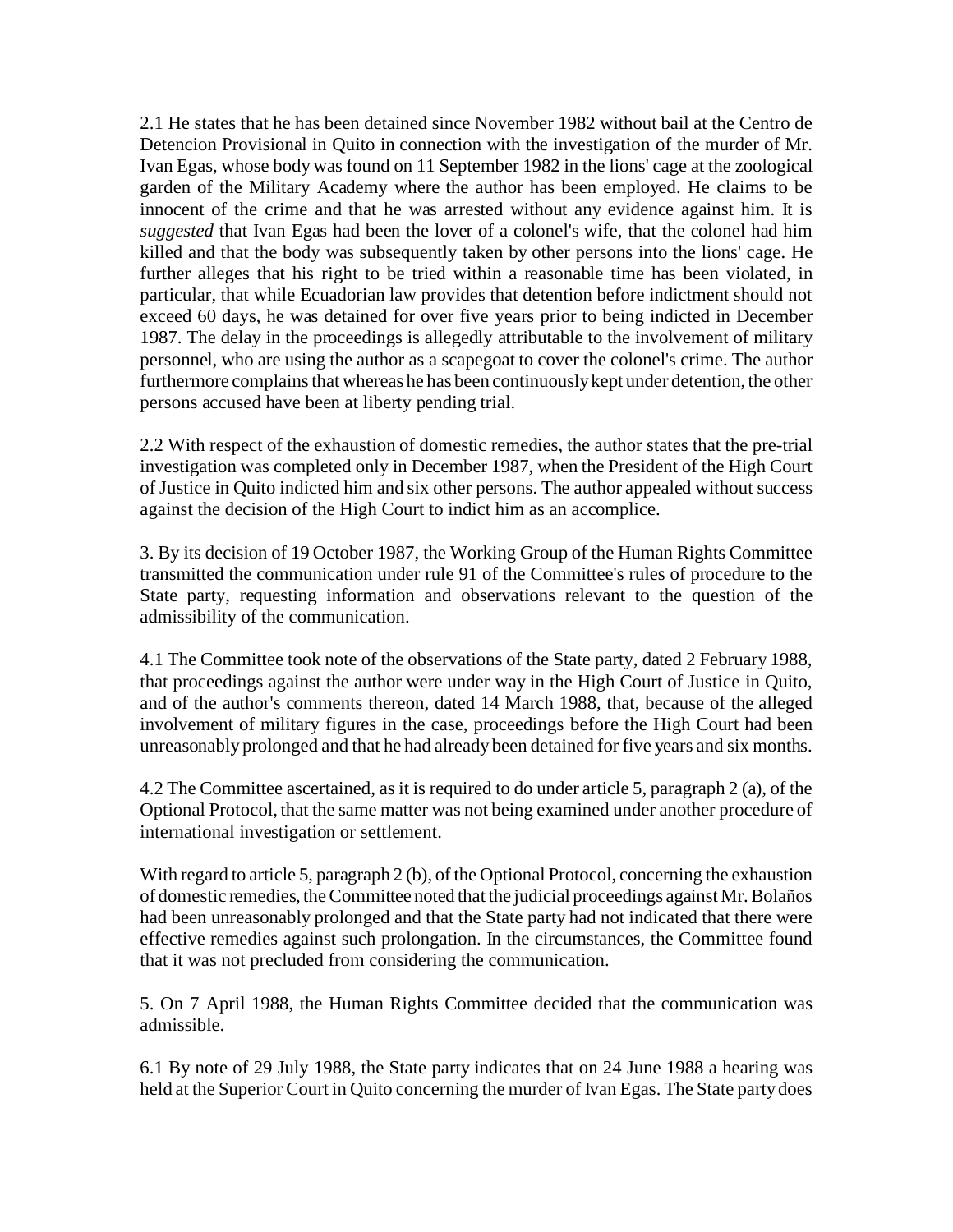2.1 He states that he has been detained since November 1982 without bail at the Centro de Detencion Provisional in Quito in connection with the investigation of the murder of Mr. Ivan Egas, whose body was found on 11 September 1982 in the lions' cage at the zoological garden of the Military Academy where the author has been employed. He claims to be innocent of the crime and that he was arrested without any evidence against him. It is *suggested* that Ivan Egas had been the lover of a colonel's wife, that the colonel had him killed and that the body was subsequently taken by other persons into the lions' cage. He further alleges that his right to be tried within a reasonable time has been violated, in particular, that while Ecuadorian law provides that detention before indictment should not exceed 60 days, he was detained for over five years prior to being indicted in December 1987. The delay in the proceedings is allegedly attributable to the involvement of military personnel, who are using the author as a scapegoat to cover the colonel's crime. The author furthermore complains that whereas he has been continuously kept under detention, the other persons accused have been at liberty pending trial.

2.2 With respect of the exhaustion of domestic remedies, the author states that the pre-trial investigation was completed only in December 1987, when the President of the High Court of Justice in Quito indicted him and six other persons. The author appealed without success against the decision of the High Court to indict him as an accomplice.

3. By its decision of 19 October 1987, the Working Group of the Human Rights Committee transmitted the communication under rule 91 of the Committee's rules of procedure to the State party, requesting information and observations relevant to the question of the admissibility of the communication.

4.1 The Committee took note of the observations of the State party, dated 2 February 1988, that proceedings against the author were under way in the High Court of Justice in Quito, and of the author's comments thereon, dated 14 March 1988, that, because of the alleged involvement of military figures in the case, proceedings before the High Court had been unreasonably prolonged and that he had already been detained for five years and six months.

4.2 The Committee ascertained, as it is required to do under article 5, paragraph 2 (a), of the Optional Protocol, that the same matter was not being examined under another procedure of international investigation or settlement.

With regard to article 5, paragraph 2 (b), of the Optional Protocol, concerning the exhaustion of domestic remedies, the Committee noted that the judicial proceedings against Mr. Bolaños had been unreasonably prolonged and that the State party had not indicated that there were effective remedies against such prolongation. In the circumstances, the Committee found that it was not precluded from considering the communication.

5. On 7 April 1988, the Human Rights Committee decided that the communication was admissible.

6.1 By note of 29 July 1988, the State party indicates that on 24 June 1988 a hearing was held at the Superior Court in Quito concerning the murder of Ivan Egas. The State party does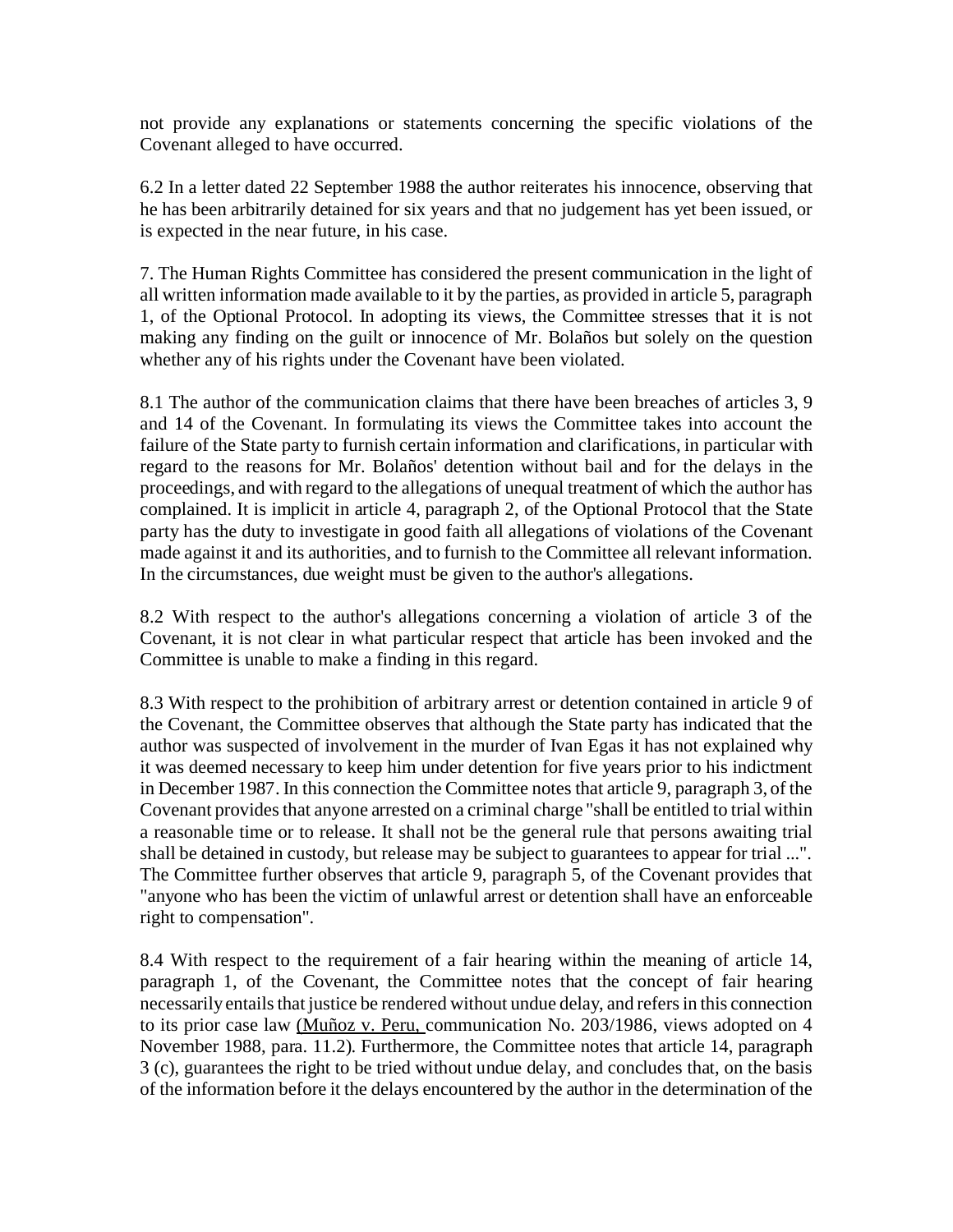not provide any explanations or statements concerning the specific violations of the Covenant alleged to have occurred.

6.2 In a letter dated 22 September 1988 the author reiterates his innocence, observing that he has been arbitrarily detained for six years and that no judgement has yet been issued, or is expected in the near future, in his case.

7. The Human Rights Committee has considered the present communication in the light of all written information made available to it by the parties, as provided in article 5, paragraph 1, of the Optional Protocol. In adopting its views, the Committee stresses that it is not making any finding on the guilt or innocence of Mr. Bolaños but solely on the question whether any of his rights under the Covenant have been violated.

8.1 The author of the communication claims that there have been breaches of articles 3, 9 and 14 of the Covenant. In formulating its views the Committee takes into account the failure of the State party to furnish certain information and clarifications, in particular with regard to the reasons for Mr. Bolaños' detention without bail and for the delays in the proceedings, and with regard to the allegations of unequal treatment of which the author has complained. It is implicit in article 4, paragraph 2, of the Optional Protocol that the State party has the duty to investigate in good faith all allegations of violations of the Covenant made against it and its authorities, and to furnish to the Committee all relevant information. In the circumstances, due weight must be given to the author's allegations.

8.2 With respect to the author's allegations concerning a violation of article 3 of the Covenant, it is not clear in what particular respect that article has been invoked and the Committee is unable to make a finding in this regard.

8.3 With respect to the prohibition of arbitrary arrest or detention contained in article 9 of the Covenant, the Committee observes that although the State party has indicated that the author was suspected of involvement in the murder of Ivan Egas it has not explained why it was deemed necessary to keep him under detention for five years prior to his indictment in December 1987. In this connection the Committee notes that article 9, paragraph 3, of the Covenant provides that anyone arrested on a criminal charge "shall be entitled to trial within a reasonable time or to release. It shall not be the general rule that persons awaiting trial shall be detained in custody, but release may be subject to guarantees to appear for trial ...". The Committee further observes that article 9, paragraph 5, of the Covenant provides that "anyone who has been the victim of unlawful arrest or detention shall have an enforceable right to compensation".

8.4 With respect to the requirement of a fair hearing within the meaning of article 14, paragraph 1, of the Covenant, the Committee notes that the concept of fair hearing necessarily entails that justice be rendered without undue delay, and refers in this connection to its prior case law (Muñoz v. Peru, communication No. 203/1986, views adopted on 4 November 1988, para. 11.2). Furthermore, the Committee notes that article 14, paragraph 3 (c), guarantees the right to be tried without undue delay, and concludes that, on the basis of the information before it the delays encountered by the author in the determination of the